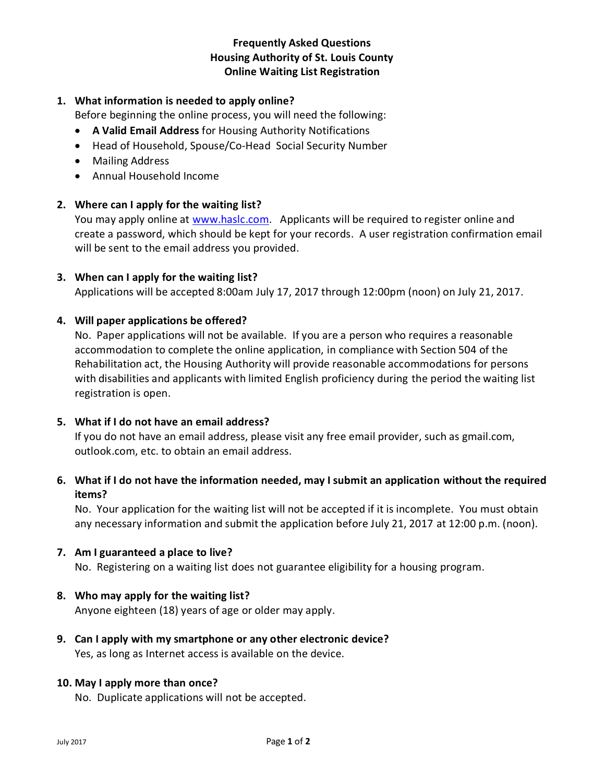# **Frequently Asked Questions Housing Authority of St. Louis County Online Waiting List Registration**

# **1. What information is needed to apply online?**

Before beginning the online process, you will need the following:

- **A Valid Email Address** for Housing Authority Notifications
- Head of Household, Spouse/Co-Head Social Security Number
- Mailing Address
- Annual Household Income

## **2. Where can I apply for the waiting list?**

You may apply online at [www.haslc.com.](http://www.haslc.com/) Applicants will be required to register online and create a password, which should be kept for your records. A user registration confirmation email will be sent to the email address you provided.

## **3. When can I apply for the waiting list?**

Applications will be accepted 8:00am July 17, 2017 through 12:00pm (noon) on July 21, 2017.

## **4. Will paper applications be offered?**

No. Paper applications will not be available. If you are a person who requires a reasonable accommodation to complete the online application, in compliance with Section 504 of the Rehabilitation act, the Housing Authority will provide reasonable accommodations for persons with disabilities and applicants with limited English proficiency during the period the waiting list registration is open.

#### **5. What if I do not have an email address?**

If you do not have an email address, please visit any free email provider, such as gmail.com, outlook.com, etc. to obtain an email address.

# **6. What if I do not have the information needed, may I submit an application without the required items?**

No. Your application for the waiting list will not be accepted if it is incomplete. You must obtain any necessary information and submit the application before July 21, 2017 at 12:00 p.m. (noon).

#### **7. Am I guaranteed a place to live?**

No. Registering on a waiting list does not guarantee eligibility for a housing program.

#### **8. Who may apply for the waiting list?**

Anyone eighteen (18) years of age or older may apply.

**9. Can I apply with my smartphone or any other electronic device?** Yes, as long as Internet access is available on the device.

#### **10. May I apply more than once?**

No. Duplicate applications will not be accepted.